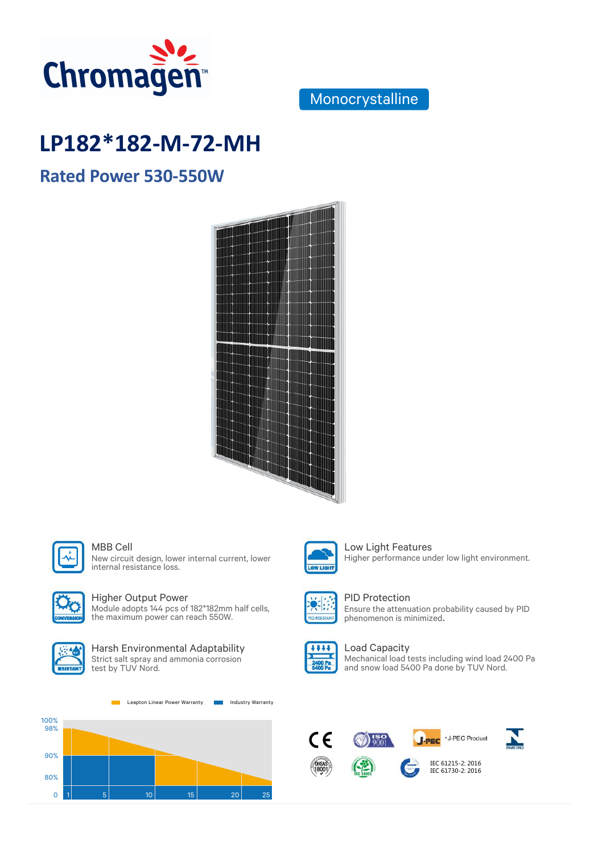

### Monocrystalline

# **LP182\*182-M-72-MH**

# LP182\*182-M-72-MH **Rated Power 530-550W**Rated Power 530-55





New circuit design, lower internal current, lower internal resistance loss.



### Higher Output Power

Module adopts 144 pcs of 182\*182mm half cells, the maximum power can reach 550W.



#### Harsh Environmental Adaptability Strict salt spray and ammonia corrosion test by TUV Nord.

Leapton Linear Power Warranty **Industry Warranty** 





### MBB Cell **Low Light Features** Higher performance under low light environment.



### PID Protection

Ensure the attenuation probability caused by PID phenomenon is minimized.



### Load Capacity

Mechanical load tests including wind load 2400 Pa and snow load 5400 Pa done by TUV Nord.